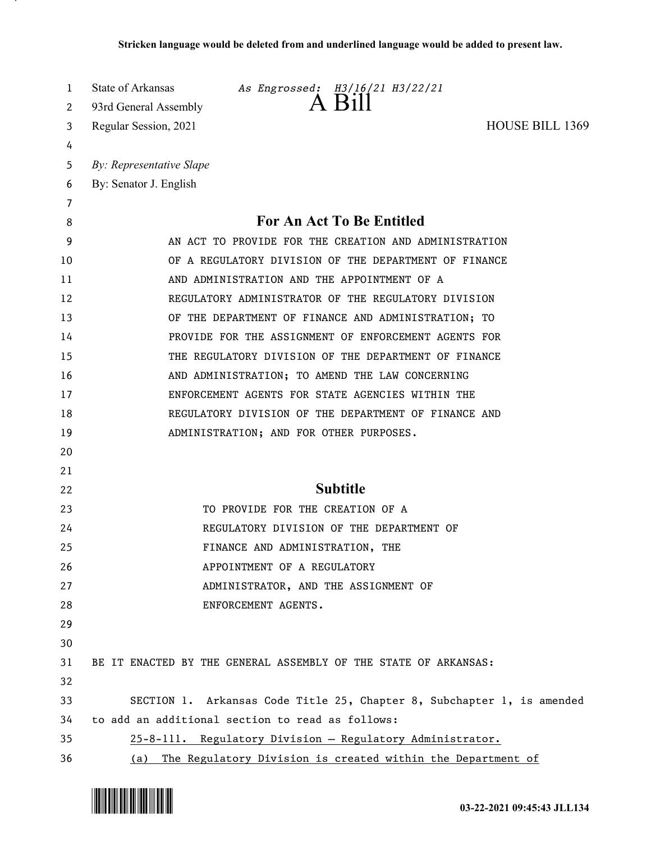| 1<br>2 | State of Arkansas<br>As Engrossed: H3/16/21 H3/22/21<br>93rd General Assembly |
|--------|-------------------------------------------------------------------------------|
| 3      | <b>HOUSE BILL 1369</b><br>Regular Session, 2021                               |
| 4      |                                                                               |
| 5      | By: Representative Slape                                                      |
| 6      | By: Senator J. English                                                        |
| 7      |                                                                               |
| 8      | For An Act To Be Entitled                                                     |
| 9      | AN ACT TO PROVIDE FOR THE CREATION AND ADMINISTRATION                         |
| 10     | OF A REGULATORY DIVISION OF THE DEPARTMENT OF FINANCE                         |
| 11     | AND ADMINISTRATION AND THE APPOINTMENT OF A                                   |
| 12     | REGULATORY ADMINISTRATOR OF THE REGULATORY DIVISION                           |
| 13     | OF THE DEPARTMENT OF FINANCE AND ADMINISTRATION; TO                           |
| 14     | PROVIDE FOR THE ASSIGNMENT OF ENFORCEMENT AGENTS FOR                          |
| 15     | THE REGULATORY DIVISION OF THE DEPARTMENT OF FINANCE                          |
| 16     | AND ADMINISTRATION; TO AMEND THE LAW CONCERNING                               |
| 17     | ENFORCEMENT AGENTS FOR STATE AGENCIES WITHIN THE                              |
| 18     | REGULATORY DIVISION OF THE DEPARTMENT OF FINANCE AND                          |
| 19     | ADMINISTRATION; AND FOR OTHER PURPOSES.                                       |
| 20     |                                                                               |
| 21     |                                                                               |
| 22     | <b>Subtitle</b>                                                               |
| 23     | TO PROVIDE FOR THE CREATION OF A                                              |
| 24     | REGULATORY DIVISION OF THE DEPARTMENT OF                                      |
| 25     | FINANCE AND ADMINISTRATION, THE                                               |
| 26     | APPOINTMENT OF A REGULATORY                                                   |
| 27     | ADMINISTRATOR, AND THE ASSIGNMENT OF                                          |
| 28     | ENFORCEMENT AGENTS.                                                           |
| 29     |                                                                               |
| 30     |                                                                               |
| 31     | BE IT ENACTED BY THE GENERAL ASSEMBLY OF THE STATE OF ARKANSAS:               |
| 32     |                                                                               |
| 33     | SECTION 1. Arkansas Code Title 25, Chapter 8, Subchapter 1, is amended        |
| 34     | to add an additional section to read as follows:                              |
| 35     | 25-8-111. Regulatory Division - Regulatory Administrator.                     |
| 36     | The Regulatory Division is created within the Department of<br>(a)            |

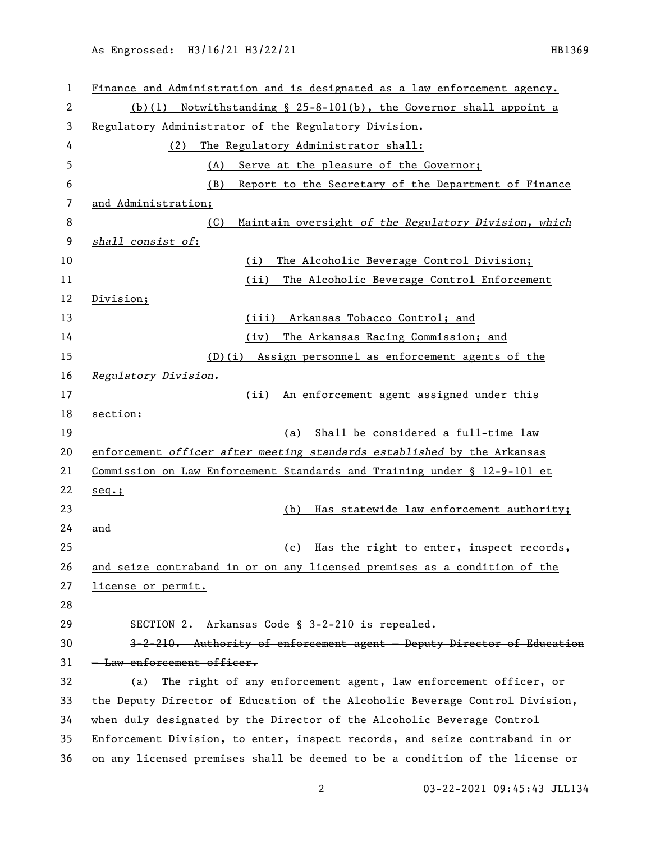| 1  | Finance and Administration and is designated as a law enforcement agency.    |
|----|------------------------------------------------------------------------------|
| 2  | Notwithstanding § 25-8-101(b), the Governor shall appoint a<br>(b)(1)        |
| 3  | Regulatory Administrator of the Regulatory Division.                         |
| 4  | The Regulatory Administrator shall:<br>(2)                                   |
| 5  | (A)<br>Serve at the pleasure of the Governor;                                |
| 6  | (B)<br>Report to the Secretary of the Department of Finance                  |
| 7  | and Administration;                                                          |
| 8  | Maintain oversight of the Regulatory Division, which<br>(C)                  |
| 9  | shall consist of:                                                            |
| 10 | (i)<br>The Alcoholic Beverage Control Division;                              |
| 11 | The Alcoholic Beverage Control Enforcement<br>(iii)                          |
| 12 | Division;                                                                    |
| 13 | (iii) Arkansas Tobacco Control; and                                          |
| 14 | The Arkansas Racing Commission; and<br>(iv)                                  |
| 15 | (D)(i) Assign personnel as enforcement agents of the                         |
| 16 | Regulatory Division.                                                         |
| 17 | An enforcement agent assigned under this<br>(ii)                             |
| 18 | section:                                                                     |
| 19 | (a) Shall be considered a full-time law                                      |
| 20 | enforcement officer after meeting standards established by the Arkansas      |
| 21 | Commission on Law Enforcement Standards and Training under § 12-9-101 et     |
| 22 | $seq.$ ;                                                                     |
| 23 | Has statewide law enforcement authority;<br>(b)                              |
| 24 | and                                                                          |
| 25 | Has the right to enter, inspect records,<br>(c)                              |
| 26 | and seize contraband in or on any licensed premises as a condition of the    |
| 27 | license or permit.                                                           |
| 28 |                                                                              |
| 29 | Arkansas Code § 3-2-210 is repealed.<br>SECTION 2.                           |
| 30 | 3-2-210. Authority of enforcement agent - Deputy Director of Education       |
| 31 | - Law enforcement officer.                                                   |
| 32 | (a) The right of any enforcement agent, law enforcement officer, or          |
| 33 | the Deputy Director of Education of the Alcoholic Beverage Control Division, |
| 34 | when duly designated by the Director of the Alcoholic Beverage Control       |
| 35 | Enforcement Division, to enter, inspect records, and seize contraband in or  |
| 36 | on any licensed premises shall be deemed to be a condition of the license or |